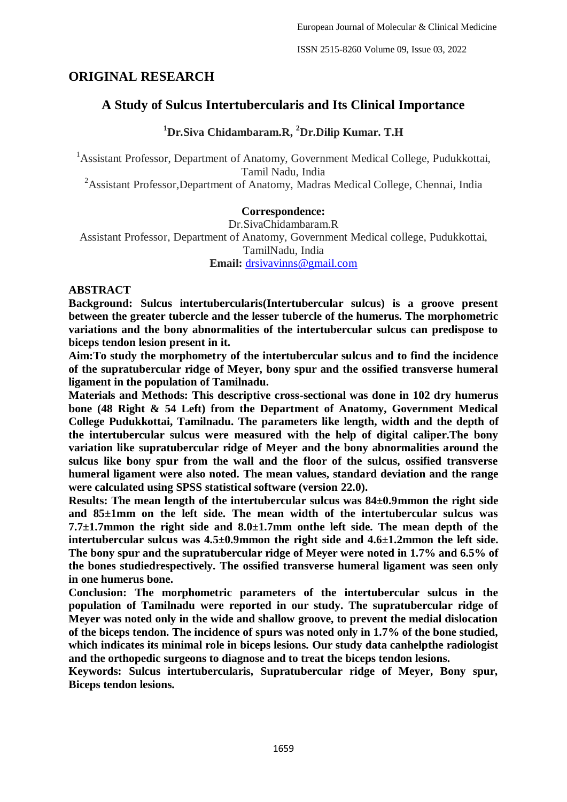ISSN 2515-8260 Volume 09, Issue 03, 2022

# **ORIGINAL RESEARCH**

# **A Study of Sulcus Intertubercularis and Its Clinical Importance**

# **<sup>1</sup>Dr.Siva Chidambaram.R, <sup>2</sup>Dr.Dilip Kumar. T.H**

<sup>1</sup> Assistant Professor, Department of Anatomy, Government Medical College, Pudukkottai, Tamil Nadu, India

<sup>2</sup>Assistant Professor,Department of Anatomy, Madras Medical College, Chennai, India

### **Correspondence:**

Dr.SivaChidambaram.R Assistant Professor, Department of Anatomy, Government Medical college, Pudukkottai, TamilNadu, India **Email:** [drsivavinns@gmail.com](mailto:drsivavinns@gmail.com)

### **ABSTRACT**

**Background: Sulcus intertubercularis(Intertubercular sulcus) is a groove present between the greater tubercle and the lesser tubercle of the humerus. The morphometric variations and the bony abnormalities of the intertubercular sulcus can predispose to biceps tendon lesion present in it.**

**Aim:To study the morphometry of the intertubercular sulcus and to find the incidence of the supratubercular ridge of Meyer, bony spur and the ossified transverse humeral ligament in the population of Tamilnadu.**

**Materials and Methods: This descriptive cross-sectional was done in 102 dry humerus bone (48 Right & 54 Left) from the Department of Anatomy, Government Medical College Pudukkottai, Tamilnadu. The parameters like length, width and the depth of the intertubercular sulcus were measured with the help of digital caliper.The bony variation like supratubercular ridge of Meyer and the bony abnormalities around the sulcus like bony spur from the wall and the floor of the sulcus, ossified transverse humeral ligament were also noted. The mean values, standard deviation and the range were calculated using SPSS statistical software (version 22.0).**

**Results: The mean length of the intertubercular sulcus was 84±0.9mmon the right side and 85±1mm on the left side. The mean width of the intertubercular sulcus was 7.7±1.7mmon the right side and 8.0±1.7mm onthe left side. The mean depth of the intertubercular sulcus was 4.5±0.9mmon the right side and 4.6±1.2mmon the left side. The bony spur and the supratubercular ridge of Meyer were noted in 1.7% and 6.5% of the bones studiedrespectively. The ossified transverse humeral ligament was seen only in one humerus bone.**

**Conclusion: The morphometric parameters of the intertubercular sulcus in the population of Tamilnadu were reported in our study. The supratubercular ridge of Meyer was noted only in the wide and shallow groove, to prevent the medial dislocation of the biceps tendon. The incidence of spurs was noted only in 1.7% of the bone studied, which indicates its minimal role in biceps lesions. Our study data canhelpthe radiologist and the orthopedic surgeons to diagnose and to treat the biceps tendon lesions.**

**Keywords: Sulcus intertubercularis, Supratubercular ridge of Meyer, Bony spur, Biceps tendon lesions.**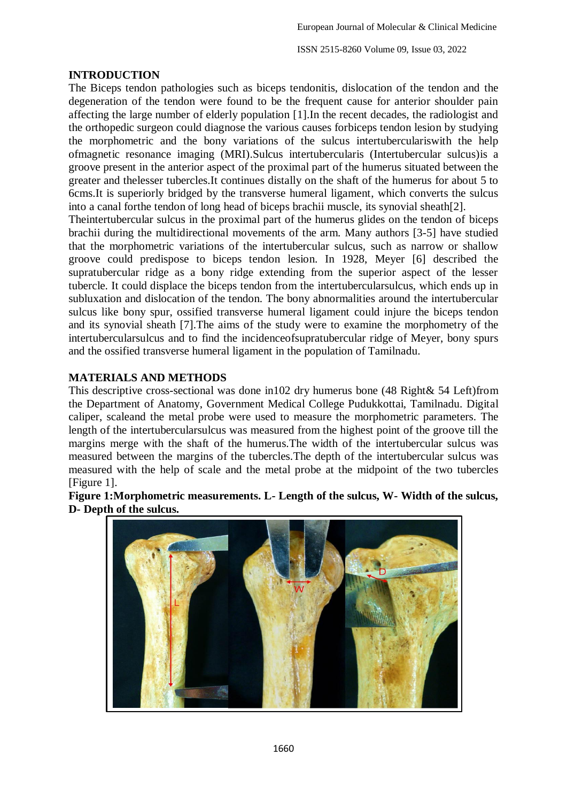ISSN 2515-8260 Volume 09, Issue 03, 2022

## **INTRODUCTION**

The Biceps tendon pathologies such as biceps tendonitis, dislocation of the tendon and the degeneration of the tendon were found to be the frequent cause for anterior shoulder pain affecting the large number of elderly population [1].In the recent decades, the radiologist and the orthopedic surgeon could diagnose the various causes forbiceps tendon lesion by studying the morphometric and the bony variations of the sulcus intertuberculariswith the help ofmagnetic resonance imaging (MRI).Sulcus intertubercularis (Intertubercular sulcus)is a groove present in the anterior aspect of the proximal part of the humerus situated between the greater and thelesser tubercles.It continues distally on the shaft of the humerus for about 5 to 6cms.It is superiorly bridged by the transverse humeral ligament, which converts the sulcus into a canal forthe tendon of long head of biceps brachii muscle, its synovial sheath[2].

Theintertubercular sulcus in the proximal part of the humerus glides on the tendon of biceps brachii during the multidirectional movements of the arm. Many authors [3-5] have studied that the morphometric variations of the intertubercular sulcus, such as narrow or shallow groove could predispose to biceps tendon lesion. In 1928, Meyer [6] described the supratubercular ridge as a bony ridge extending from the superior aspect of the lesser tubercle. It could displace the biceps tendon from the intertubercularsulcus, which ends up in subluxation and dislocation of the tendon. The bony abnormalities around the intertubercular sulcus like bony spur, ossified transverse humeral ligament could injure the biceps tendon and its synovial sheath [7].The aims of the study were to examine the morphometry of the intertubercularsulcus and to find the incidenceofsupratubercular ridge of Meyer, bony spurs and the ossified transverse humeral ligament in the population of Tamilnadu.

## **MATERIALS AND METHODS**

This descriptive cross-sectional was done in102 dry humerus bone (48 Right& 54 Left)from the Department of Anatomy, Government Medical College Pudukkottai, Tamilnadu. Digital caliper, scaleand the metal probe were used to measure the morphometric parameters. The length of the intertubercularsulcus was measured from the highest point of the groove till the margins merge with the shaft of the humerus.The width of the intertubercular sulcus was measured between the margins of the tubercles.The depth of the intertubercular sulcus was measured with the help of scale and the metal probe at the midpoint of the two tubercles [Figure 1].

**Figure 1:Morphometric measurements. L- Length of the sulcus, W- Width of the sulcus, D- Depth of the sulcus.**

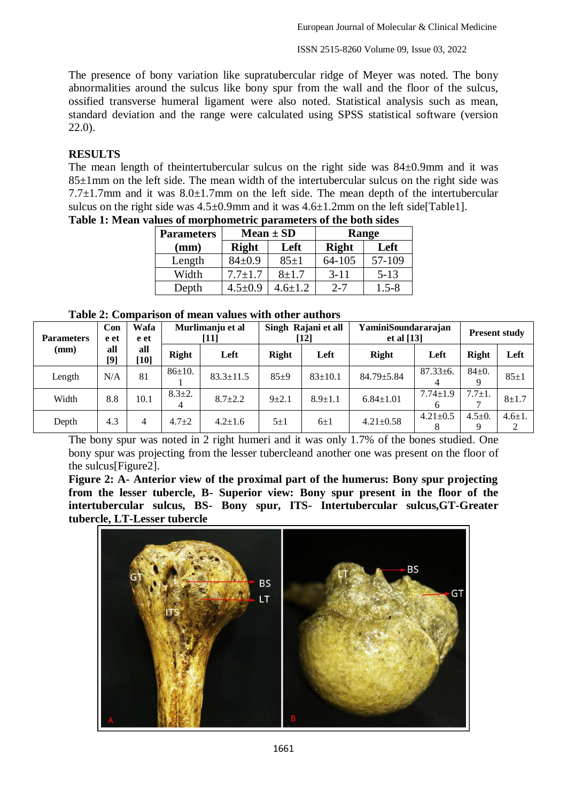ISSN 2515-8260 Volume 09, Issue 03, 2022

The presence of bony variation like supratubercular ridge of Meyer was noted. The bony abnormalities around the sulcus like bony spur from the wall and the floor of the sulcus, ossified transverse humeral ligament were also noted. Statistical analysis such as mean, standard deviation and the range were calculated using SPSS statistical software (version 22.0).

## **RESULTS**

The mean length of theintertubercular sulcus on the right side was 84±0.9mm and it was 85±1mm on the left side. The mean width of the intertubercular sulcus on the right side was 7.7 $\pm$ 1.7mm and it was 8.0 $\pm$ 1.7mm on the left side. The mean depth of the intertubercular sulcus on the right side was  $4.5\pm0.9$ mm and it was  $4.6\pm1.2$ mm on the left side[Table1].

| <b>Parameters</b> |               | $Mean \pm SD$ | Range        |           |  |
|-------------------|---------------|---------------|--------------|-----------|--|
| (mm)              | <b>Right</b>  | Left          | <b>Right</b> | Left      |  |
| Length            | $84 \pm 0.9$  | $85 \pm 1$    | 64-105       | 57-109    |  |
| Width             | $7.7 \pm 1.7$ | $8 + 1.7$     | $3 - 11$     | $5 - 13$  |  |
| Depth             | $4.5 \pm 0.9$ | $4.6 + 1.2$   | $2 - 7$      | $1.5 - 8$ |  |

**Table 1: Mean values of morphometric parameters of the both sides** 

|  |  |  |  | Table 2: Comparison of mean values with other authors |
|--|--|--|--|-------------------------------------------------------|
|--|--|--|--|-------------------------------------------------------|

| <b>Parameters</b> | Wafa<br>Con<br>e et<br>e et | Murlimanju et al<br>[11] |              | Singh Rajani et all<br>[12] |              | <b>YaminiSoundararajan</b><br>et al $[13]$ |                  | <b>Present study</b> |                   |              |
|-------------------|-----------------------------|--------------------------|--------------|-----------------------------|--------------|--------------------------------------------|------------------|----------------------|-------------------|--------------|
| (mm)              | all<br>$[9]$                | all<br>$[10]$            | Right        | Left                        | <b>Right</b> | Left                                       | Right            | Left                 | <b>Right</b>      | Left         |
| Length            | N/A                         | 81                       | $86 \pm 10.$ | $83.3 \pm 11.5$             | $85+9$       | $83 \pm 10.1$                              | $84.79 \pm 5.84$ | $87.33 \pm 6.$<br>4  | $84 \pm 0.$<br>Q  | $85 \pm 1$   |
| Width             | 8.8                         | 10.1                     | $8.3 \pm 2.$ | $8.7 \pm 2.2$               | $9 + 2.1$    | $8.9 \pm 1.1$                              | $6.84 \pm 1.01$  | $7.74 \pm 1.9$<br>6  | $7.7 \pm 1.$      | $8 + 1.7$    |
| Depth             | 4.3                         | 4                        | $4.7 + 2$    | $4.2 + 1.6$                 | $5\pm1$      | $6\pm1$                                    | $4.21 \pm 0.58$  | $4.21 \pm 0.5$       | $4.5 \pm 0.$<br>Q | $4.6 \pm 1.$ |

The bony spur was noted in 2 right humeri and it was only 1.7% of the bones studied. One bony spur was projecting from the lesser tubercleand another one was present on the floor of the sulcus[Figure2].

**Figure 2: A- Anterior view of the proximal part of the humerus: Bony spur projecting from the lesser tubercle, B- Superior view: Bony spur present in the floor of the intertubercular sulcus, BS- Bony spur, ITS- Intertubercular sulcus,GT-Greater tubercle, LT-Lesser tubercle**

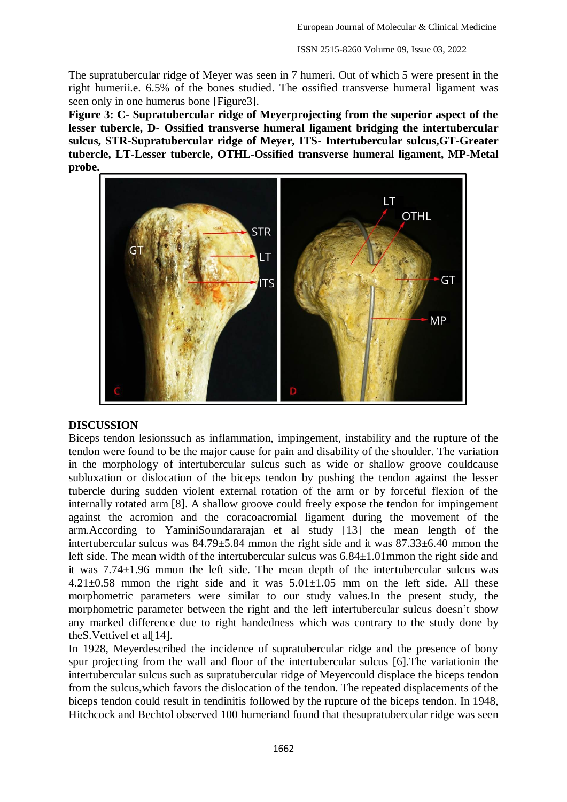The supratubercular ridge of Meyer was seen in 7 humeri. Out of which 5 were present in the right humerii.e. 6.5% of the bones studied. The ossified transverse humeral ligament was seen only in one humerus bone [Figure3].

**Figure 3: C- Supratubercular ridge of Meyerprojecting from the superior aspect of the lesser tubercle, D- Ossified transverse humeral ligament bridging the intertubercular sulcus, STR-Supratubercular ridge of Meyer, ITS- Intertubercular sulcus,GT-Greater tubercle, LT-Lesser tubercle, OTHL-Ossified transverse humeral ligament, MP-Metal probe.**



#### **DISCUSSION**

Biceps tendon lesionssuch as inflammation, impingement, instability and the rupture of the tendon were found to be the major cause for pain and disability of the shoulder. The variation in the morphology of intertubercular sulcus such as wide or shallow groove couldcause subluxation or dislocation of the biceps tendon by pushing the tendon against the lesser tubercle during sudden violent external rotation of the arm or by forceful flexion of the internally rotated arm [8]. A shallow groove could freely expose the tendon for impingement against the acromion and the coracoacromial ligament during the movement of the arm.According to YaminiSoundararajan et al study [13] the mean length of the intertubercular sulcus was 84.79±5.84 mmon the right side and it was 87.33±6.40 mmon the left side. The mean width of the intertubercular sulcus was 6.84±1.01mmon the right side and it was 7.74±1.96 mmon the left side. The mean depth of the intertubercular sulcus was  $4.21 \pm 0.58$  mmon the right side and it was  $5.01 \pm 1.05$  mm on the left side. All these morphometric parameters were similar to our study values.In the present study, the morphometric parameter between the right and the left intertubercular sulcus doesn't show any marked difference due to right handedness which was contrary to the study done by the S. Vettivel et all [14].

In 1928, Meyerdescribed the incidence of supratubercular ridge and the presence of bony spur projecting from the wall and floor of the intertubercular sulcus [6].The variationin the intertubercular sulcus such as supratubercular ridge of Meyercould displace the biceps tendon from the sulcus,which favors the dislocation of the tendon. The repeated displacements of the biceps tendon could result in tendinitis followed by the rupture of the biceps tendon. In 1948, Hitchcock and Bechtol observed 100 humeriand found that thesupratubercular ridge was seen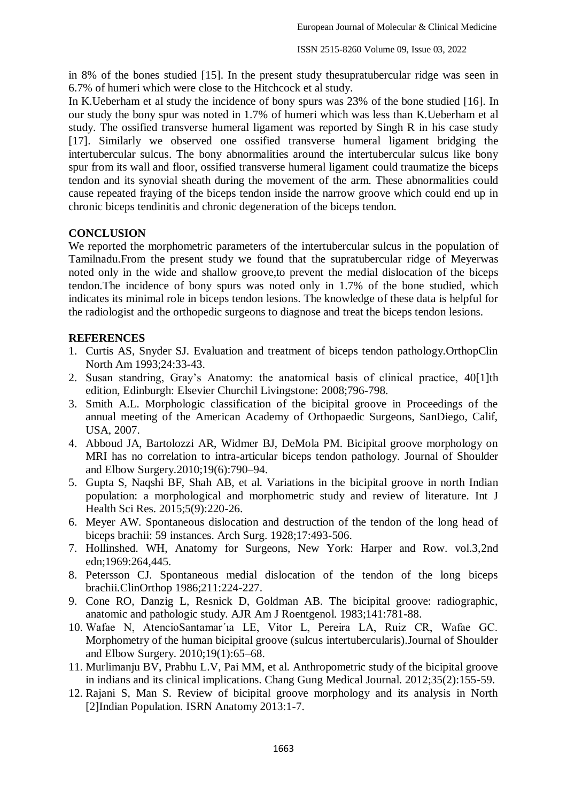in 8% of the bones studied [15]. In the present study thesupratubercular ridge was seen in 6.7% of humeri which were close to the Hitchcock et al study.

In K.Ueberham et al study the incidence of bony spurs was 23% of the bone studied [16]. In our study the bony spur was noted in 1.7% of humeri which was less than K.Ueberham et al study. The ossified transverse humeral ligament was reported by Singh R in his case study [17]. Similarly we observed one ossified transverse humeral ligament bridging the intertubercular sulcus. The bony abnormalities around the intertubercular sulcus like bony spur from its wall and floor, ossified transverse humeral ligament could traumatize the biceps tendon and its synovial sheath during the movement of the arm. These abnormalities could cause repeated fraying of the biceps tendon inside the narrow groove which could end up in chronic biceps tendinitis and chronic degeneration of the biceps tendon.

## **CONCLUSION**

We reported the morphometric parameters of the intertubercular sulcus in the population of Tamilnadu.From the present study we found that the supratubercular ridge of Meyerwas noted only in the wide and shallow groove,to prevent the medial dislocation of the biceps tendon.The incidence of bony spurs was noted only in 1.7% of the bone studied, which indicates its minimal role in biceps tendon lesions. The knowledge of these data is helpful for the radiologist and the orthopedic surgeons to diagnose and treat the biceps tendon lesions.

## **REFERENCES**

- 1. Curtis AS, Snyder SJ. Evaluation and treatment of biceps tendon pathology.OrthopClin North Am 1993;24:33-43.
- 2. Susan standring, Gray's Anatomy: the anatomical basis of clinical practice, 40[1]th edition, Edinburgh: Elsevier Churchil Livingstone: 2008;796-798.
- 3. Smith A.L. Morphologic classification of the bicipital groove in Proceedings of the annual meeting of the American Academy of Orthopaedic Surgeons, SanDiego, Calif, USA, 2007.
- 4. Abboud JA, Bartolozzi AR, Widmer BJ, DeMola PM. Bicipital groove morphology on MRI has no correlation to intra-articular biceps tendon pathology. Journal of Shoulder and Elbow Surgery.2010;19(6):790–94.
- 5. Gupta S, Naqshi BF, Shah AB, et al. Variations in the bicipital groove in north Indian population: a morphological and morphometric study and review of literature. Int J Health Sci Res. 2015;5(9):220-26.
- 6. Meyer AW. Spontaneous dislocation and destruction of the tendon of the long head of biceps brachii: 59 instances. Arch Surg. 1928;17:493-506.
- 7. Hollinshed. WH, Anatomy for Surgeons, New York: Harper and Row. vol.3,2nd edn;1969:264,445.
- 8. Petersson CJ. Spontaneous medial dislocation of the tendon of the long biceps brachii.ClinOrthop 1986;211:224-227.
- 9. Cone RO, Danzig L, Resnick D, Goldman AB. The bicipital groove: radiographic, anatomic and pathologic study. AJR Am J Roentgenol. 1983;141:781-88.
- 10. Wafae N, AtencioSantamar´ıa LE, Vitor L, Pereira LA, Ruiz CR, Wafae GC. Morphometry of the human bicipital groove (sulcus intertubercularis).Journal of Shoulder and Elbow Surgery. 2010;19(1):65–68.
- 11. Murlimanju BV, Prabhu L.V, Pai MM, et al. Anthropometric study of the bicipital groove in indians and its clinical implications. Chang Gung Medical Journal. 2012;35(2):155-59.
- 12. Rajani S, Man S. Review of bicipital groove morphology and its analysis in North [2]Indian Population. ISRN Anatomy 2013:1-7.